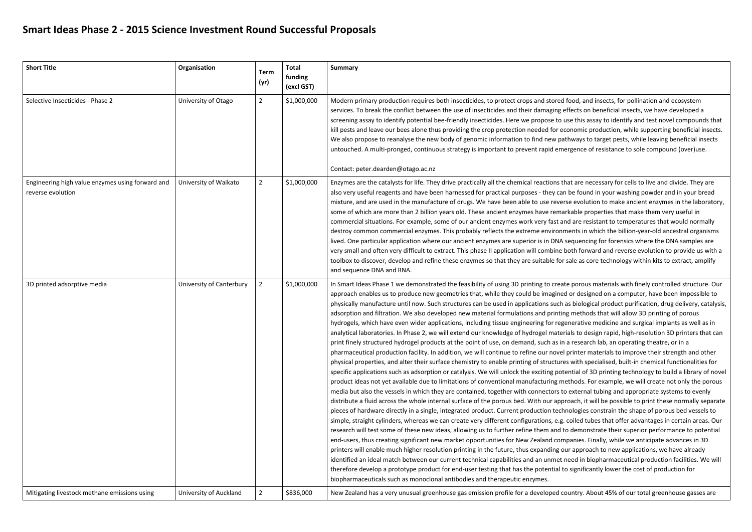## **Smart Ideas Phase 2 - 2015 Science Investment Round Successful Proposals**

| <b>Short Title</b>                                                    | Organisation             | <b>Term</b><br>(yr) | <b>Total</b><br>funding<br>(excl GST) | <b>Summary</b>                                                                                                                                                                                                                                                                                                                                                                                                                                                                                                                                                                                                                                                                                                                                                                                                                                                                                                                                                                                                                                                                                                                                                                                                                                                                                                                                                                                                                                                                                                                                                                                                                                                                                                                                                                                                                                                                                          |
|-----------------------------------------------------------------------|--------------------------|---------------------|---------------------------------------|---------------------------------------------------------------------------------------------------------------------------------------------------------------------------------------------------------------------------------------------------------------------------------------------------------------------------------------------------------------------------------------------------------------------------------------------------------------------------------------------------------------------------------------------------------------------------------------------------------------------------------------------------------------------------------------------------------------------------------------------------------------------------------------------------------------------------------------------------------------------------------------------------------------------------------------------------------------------------------------------------------------------------------------------------------------------------------------------------------------------------------------------------------------------------------------------------------------------------------------------------------------------------------------------------------------------------------------------------------------------------------------------------------------------------------------------------------------------------------------------------------------------------------------------------------------------------------------------------------------------------------------------------------------------------------------------------------------------------------------------------------------------------------------------------------------------------------------------------------------------------------------------------------|
| Selective Insecticides - Phase 2                                      | University of Otago      | $\overline{2}$      | \$1,000,000                           | Modern primary production requires both insecticides, to protect crops and stored<br>services. To break the conflict between the use of insecticides and their damaging e<br>screening assay to identify potential bee-friendly insecticides. Here we propose to u<br>kill pests and leave our bees alone thus providing the crop protection needed for ec<br>We also propose to reanalyse the new body of genomic information to find new pat<br>untouched. A multi-pronged, continuous strategy is important to prevent rapid eme<br>Contact: peter.dearden@otago.ac.nz                                                                                                                                                                                                                                                                                                                                                                                                                                                                                                                                                                                                                                                                                                                                                                                                                                                                                                                                                                                                                                                                                                                                                                                                                                                                                                                               |
| Engineering high value enzymes using forward and<br>reverse evolution | University of Waikato    | $\overline{2}$      | \$1,000,000                           | Enzymes are the catalysts for life. They drive practically all the chemical reactions th<br>also very useful reagents and have been harnessed for practical purposes - they can<br>mixture, and are used in the manufacture of drugs. We have been able to use revers<br>some of which are more than 2 billion years old. These ancient enzymes have remar<br>commercial situations. For example, some of our ancient enzymes work very fast an<br>destroy common commercial enzymes. This probably reflects the extreme environm<br>lived. One particular application where our ancient enzymes are superior is in DNA s<br>very small and often very difficult to extract. This phase II application will combine b<br>toolbox to discover, develop and refine these enzymes so that they are suitable for<br>and sequence DNA and RNA.                                                                                                                                                                                                                                                                                                                                                                                                                                                                                                                                                                                                                                                                                                                                                                                                                                                                                                                                                                                                                                                               |
| 3D printed adsorptive media                                           | University of Canterbury | 2                   | \$1,000,000                           | In Smart Ideas Phase 1 we demonstrated the feasibility of using 3D printing to creat<br>approach enables us to produce new geometries that, while they could be imagined<br>physically manufacture until now. Such structures can be used in applications such a<br>adsorption and filtration. We also developed new material formulations and printin<br>hydrogels, which have even wider applications, including tissue engineering for rege<br>analytical laboratories. In Phase 2, we will extend our knowledge of hydrogel materi<br>print finely structured hydrogel products at the point of use, on demand, such as in<br>pharmaceutical production facility. In addition, we will continue to refine our novel<br>physical properties, and alter their surface chemistry to enable printing of structure<br>specific applications such as adsorption or catalysis. We will unlock the exciting pote<br>product ideas not yet available due to limitations of conventional manufacturing me<br>media but also the vessels in which they are contained, together with connectors to<br>distribute a fluid across the whole internal surface of the porous bed. With our appr<br>pieces of hardware directly in a single, integrated product. Current production tech<br>simple, straight cylinders, whereas we can create very different configurations, e.g.<br>research will test some of these new ideas, allowing us to further refine them and to<br>end-users, thus creating significant new market opportunities for New Zealand com<br>printers will enable much higher resolution printing in the future, thus expanding ou<br>identified an ideal match between our current technical capabilities and an unmet r<br>therefore develop a prototype product for end-user testing that has the potential to<br>biopharmaceuticals such as monoclonal antibodies and therapeutic enzymes. |
| Mitigating livestock methane emissions using                          | University of Auckland   | 2                   | \$836,000                             | New Zealand has a very unusual greenhouse gas emission profile for a developed co                                                                                                                                                                                                                                                                                                                                                                                                                                                                                                                                                                                                                                                                                                                                                                                                                                                                                                                                                                                                                                                                                                                                                                                                                                                                                                                                                                                                                                                                                                                                                                                                                                                                                                                                                                                                                       |

food, and insects, for pollination and ecosystem ffects on beneficial insects, we have developed a ise this assay to identify and test novel compounds that conomic production, while supporting beneficial insects. thways to target pests, while leaving beneficial insects ergence of resistance to sole compound (over)use.

at are necessary for cells to live and divide. They are be found in your washing powder and in your bread se evolution to make ancient enzymes in the laboratory, rkable properties that make them very useful in d are resistant to temperatures that would normally nents in which the billion-year-old ancestral organisms sequencing for forensics where the DNA samples are ooth forward and reverse evolution to provide us with a sale as core technology within kits to extract, amplify

e porous materials with finely controlled structure. Our in Spart Ideasible to the feature and in Sun I or designed on a computer, have been impossible to as biological product purification, drug delivery, catalysis, g methods that will allow 3D printing of porous enerative medicine and surgical implants as well as in ials to design rapid, high-resolution 3D printers that can a research lab, an operating theatre, or in a printer materials to improve their strength and other es with specialised, built-in chemical functionalities for ential of 3D printing technology to build a library of novel ethods. For example, we will create not only the porous external tubing and appropriate systems to evenly roach, it will be possible to print these normally separate nologies constrain the shape of porous bed vessels to coiled tubes that offer advantages in certain areas. Our o demonstrate their superior performance to potential panies. Finally, while we anticipate advances in 3D ur approach to new applications, we have already need in biopharmaceutical production facilities. We will p significantly lower the cost of production for